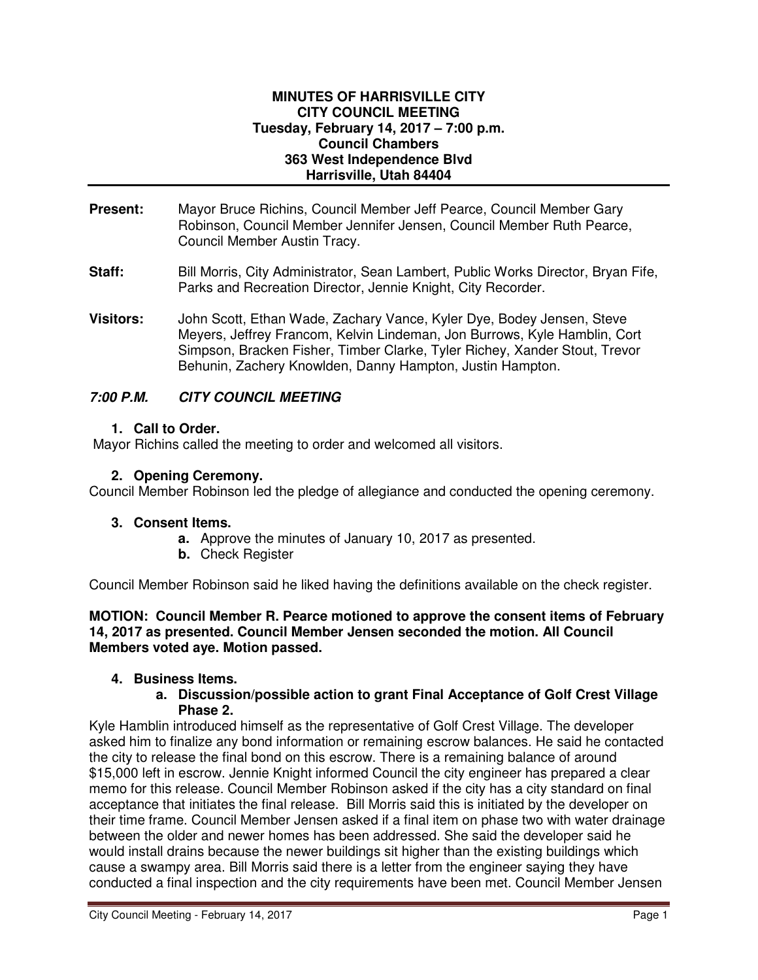#### **MINUTES OF HARRISVILLE CITY CITY COUNCIL MEETING Tuesday, February 14, 2017 – 7:00 p.m. Council Chambers 363 West Independence Blvd Harrisville, Utah 84404**

- **Present:** Mayor Bruce Richins, Council Member Jeff Pearce, Council Member Gary Robinson, Council Member Jennifer Jensen, Council Member Ruth Pearce, Council Member Austin Tracy.
- **Staff:** Bill Morris, City Administrator, Sean Lambert, Public Works Director, Bryan Fife, Parks and Recreation Director, Jennie Knight, City Recorder.
- **Visitors:** John Scott, Ethan Wade, Zachary Vance, Kyler Dye, Bodey Jensen, Steve Meyers, Jeffrey Francom, Kelvin Lindeman, Jon Burrows, Kyle Hamblin, Cort Simpson, Bracken Fisher, Timber Clarke, Tyler Richey, Xander Stout, Trevor Behunin, Zachery Knowlden, Danny Hampton, Justin Hampton.

### **7:00 P.M. CITY COUNCIL MEETING**

#### **1. Call to Order.**

Mayor Richins called the meeting to order and welcomed all visitors.

#### **2. Opening Ceremony.**

Council Member Robinson led the pledge of allegiance and conducted the opening ceremony.

#### **3. Consent Items.**

- **a.** Approve the minutes of January 10, 2017 as presented.
- **b.** Check Register

Council Member Robinson said he liked having the definitions available on the check register.

**MOTION: Council Member R. Pearce motioned to approve the consent items of February 14, 2017 as presented. Council Member Jensen seconded the motion. All Council Members voted aye. Motion passed.** 

#### **4. Business Items.**

**a. Discussion/possible action to grant Final Acceptance of Golf Crest Village Phase 2.** 

Kyle Hamblin introduced himself as the representative of Golf Crest Village. The developer asked him to finalize any bond information or remaining escrow balances. He said he contacted the city to release the final bond on this escrow. There is a remaining balance of around \$15,000 left in escrow. Jennie Knight informed Council the city engineer has prepared a clear memo for this release. Council Member Robinson asked if the city has a city standard on final acceptance that initiates the final release. Bill Morris said this is initiated by the developer on their time frame. Council Member Jensen asked if a final item on phase two with water drainage between the older and newer homes has been addressed. She said the developer said he would install drains because the newer buildings sit higher than the existing buildings which cause a swampy area. Bill Morris said there is a letter from the engineer saying they have conducted a final inspection and the city requirements have been met. Council Member Jensen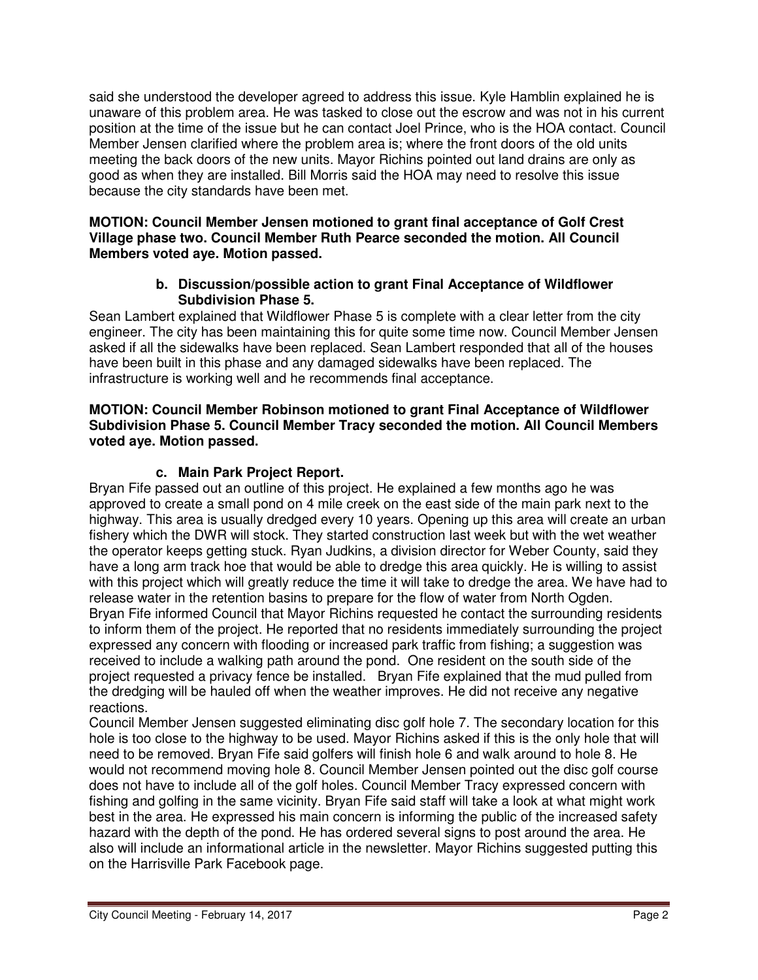said she understood the developer agreed to address this issue. Kyle Hamblin explained he is unaware of this problem area. He was tasked to close out the escrow and was not in his current position at the time of the issue but he can contact Joel Prince, who is the HOA contact. Council Member Jensen clarified where the problem area is; where the front doors of the old units meeting the back doors of the new units. Mayor Richins pointed out land drains are only as good as when they are installed. Bill Morris said the HOA may need to resolve this issue because the city standards have been met.

#### **MOTION: Council Member Jensen motioned to grant final acceptance of Golf Crest Village phase two. Council Member Ruth Pearce seconded the motion. All Council Members voted aye. Motion passed.**

#### **b. Discussion/possible action to grant Final Acceptance of Wildflower Subdivision Phase 5.**

Sean Lambert explained that Wildflower Phase 5 is complete with a clear letter from the city engineer. The city has been maintaining this for quite some time now. Council Member Jensen asked if all the sidewalks have been replaced. Sean Lambert responded that all of the houses have been built in this phase and any damaged sidewalks have been replaced. The infrastructure is working well and he recommends final acceptance.

#### **MOTION: Council Member Robinson motioned to grant Final Acceptance of Wildflower Subdivision Phase 5. Council Member Tracy seconded the motion. All Council Members voted aye. Motion passed.**

### **c. Main Park Project Report.**

Bryan Fife passed out an outline of this project. He explained a few months ago he was approved to create a small pond on 4 mile creek on the east side of the main park next to the highway. This area is usually dredged every 10 years. Opening up this area will create an urban fishery which the DWR will stock. They started construction last week but with the wet weather the operator keeps getting stuck. Ryan Judkins, a division director for Weber County, said they have a long arm track hoe that would be able to dredge this area quickly. He is willing to assist with this project which will greatly reduce the time it will take to dredge the area. We have had to release water in the retention basins to prepare for the flow of water from North Ogden. Bryan Fife informed Council that Mayor Richins requested he contact the surrounding residents to inform them of the project. He reported that no residents immediately surrounding the project expressed any concern with flooding or increased park traffic from fishing; a suggestion was received to include a walking path around the pond. One resident on the south side of the project requested a privacy fence be installed. Bryan Fife explained that the mud pulled from the dredging will be hauled off when the weather improves. He did not receive any negative reactions.

Council Member Jensen suggested eliminating disc golf hole 7. The secondary location for this hole is too close to the highway to be used. Mayor Richins asked if this is the only hole that will need to be removed. Bryan Fife said golfers will finish hole 6 and walk around to hole 8. He would not recommend moving hole 8. Council Member Jensen pointed out the disc golf course does not have to include all of the golf holes. Council Member Tracy expressed concern with fishing and golfing in the same vicinity. Bryan Fife said staff will take a look at what might work best in the area. He expressed his main concern is informing the public of the increased safety hazard with the depth of the pond. He has ordered several signs to post around the area. He also will include an informational article in the newsletter. Mayor Richins suggested putting this on the Harrisville Park Facebook page.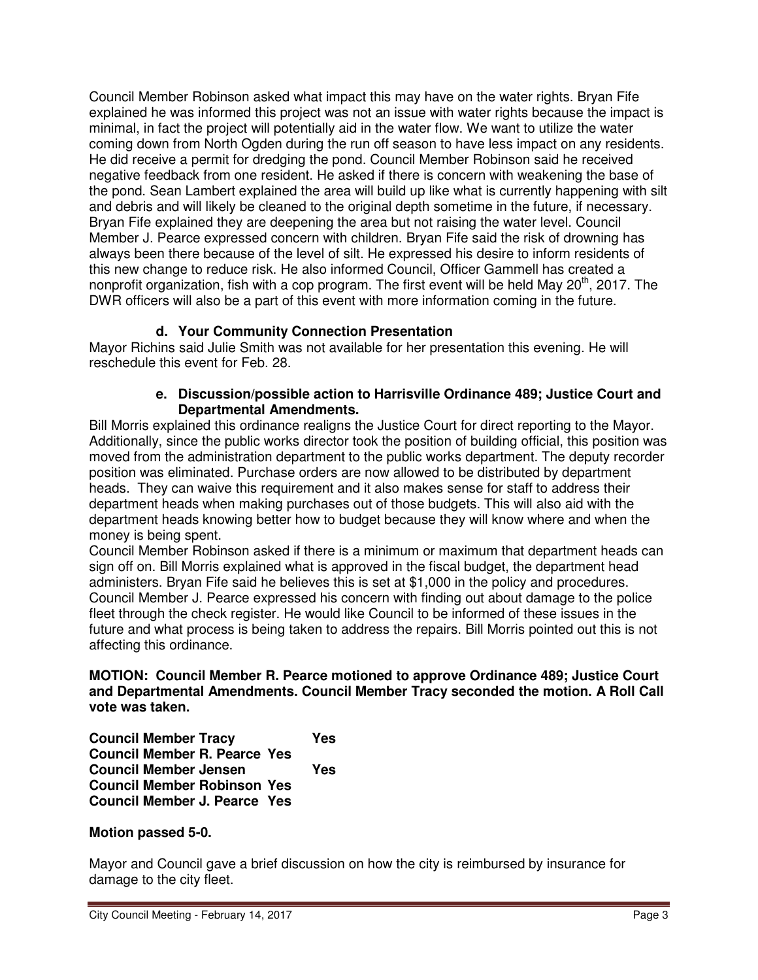Council Member Robinson asked what impact this may have on the water rights. Bryan Fife explained he was informed this project was not an issue with water rights because the impact is minimal, in fact the project will potentially aid in the water flow. We want to utilize the water coming down from North Ogden during the run off season to have less impact on any residents. He did receive a permit for dredging the pond. Council Member Robinson said he received negative feedback from one resident. He asked if there is concern with weakening the base of the pond. Sean Lambert explained the area will build up like what is currently happening with silt and debris and will likely be cleaned to the original depth sometime in the future, if necessary. Bryan Fife explained they are deepening the area but not raising the water level. Council Member J. Pearce expressed concern with children. Bryan Fife said the risk of drowning has always been there because of the level of silt. He expressed his desire to inform residents of this new change to reduce risk. He also informed Council, Officer Gammell has created a nonprofit organization, fish with a cop program. The first event will be held May  $20<sup>th</sup>$ , 2017. The DWR officers will also be a part of this event with more information coming in the future.

## **d. Your Community Connection Presentation**

Mayor Richins said Julie Smith was not available for her presentation this evening. He will reschedule this event for Feb. 28.

#### **e. Discussion/possible action to Harrisville Ordinance 489; Justice Court and Departmental Amendments.**

Bill Morris explained this ordinance realigns the Justice Court for direct reporting to the Mayor. Additionally, since the public works director took the position of building official, this position was moved from the administration department to the public works department. The deputy recorder position was eliminated. Purchase orders are now allowed to be distributed by department heads. They can waive this requirement and it also makes sense for staff to address their department heads when making purchases out of those budgets. This will also aid with the department heads knowing better how to budget because they will know where and when the money is being spent.

Council Member Robinson asked if there is a minimum or maximum that department heads can sign off on. Bill Morris explained what is approved in the fiscal budget, the department head administers. Bryan Fife said he believes this is set at \$1,000 in the policy and procedures. Council Member J. Pearce expressed his concern with finding out about damage to the police fleet through the check register. He would like Council to be informed of these issues in the future and what process is being taken to address the repairs. Bill Morris pointed out this is not affecting this ordinance.

**MOTION: Council Member R. Pearce motioned to approve Ordinance 489; Justice Court and Departmental Amendments. Council Member Tracy seconded the motion. A Roll Call vote was taken.** 

**Council Member Tracy Yes Council Member R. Pearce Yes Council Member Jensen Yes Council Member Robinson Yes Council Member J. Pearce Yes** 

#### **Motion passed 5-0.**

Mayor and Council gave a brief discussion on how the city is reimbursed by insurance for damage to the city fleet.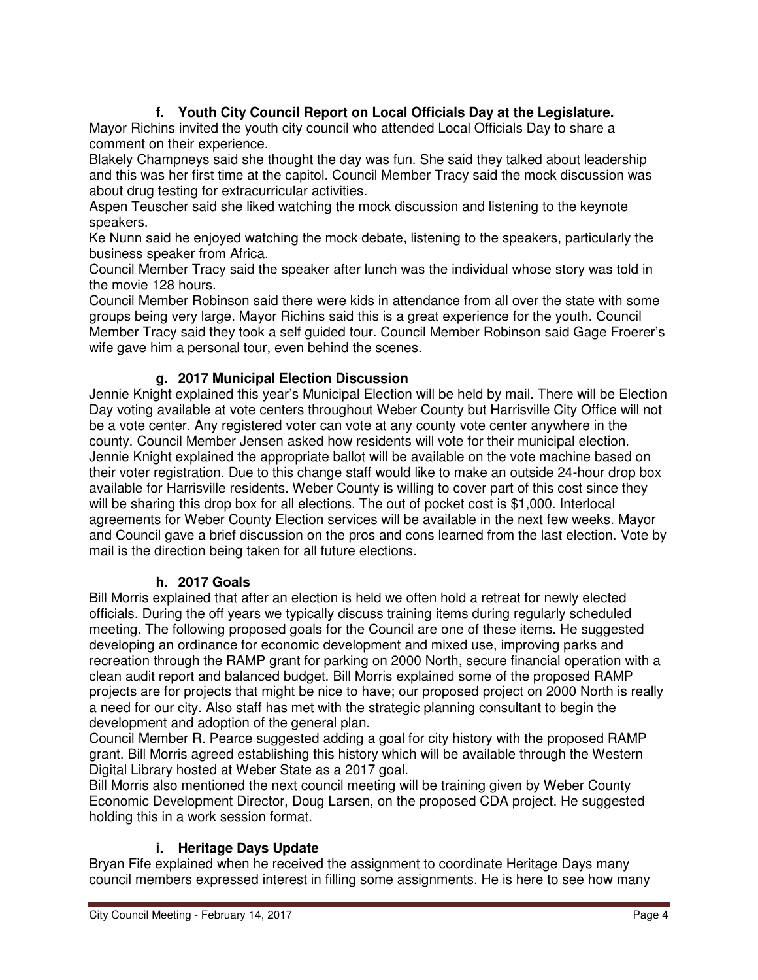# **f. Youth City Council Report on Local Officials Day at the Legislature.**

Mayor Richins invited the youth city council who attended Local Officials Day to share a comment on their experience.

Blakely Champneys said she thought the day was fun. She said they talked about leadership and this was her first time at the capitol. Council Member Tracy said the mock discussion was about drug testing for extracurricular activities.

Aspen Teuscher said she liked watching the mock discussion and listening to the keynote speakers.

Ke Nunn said he enjoyed watching the mock debate, listening to the speakers, particularly the business speaker from Africa.

Council Member Tracy said the speaker after lunch was the individual whose story was told in the movie 128 hours.

Council Member Robinson said there were kids in attendance from all over the state with some groups being very large. Mayor Richins said this is a great experience for the youth. Council Member Tracy said they took a self guided tour. Council Member Robinson said Gage Froerer's wife gave him a personal tour, even behind the scenes.

## **g. 2017 Municipal Election Discussion**

Jennie Knight explained this year's Municipal Election will be held by mail. There will be Election Day voting available at vote centers throughout Weber County but Harrisville City Office will not be a vote center. Any registered voter can vote at any county vote center anywhere in the county. Council Member Jensen asked how residents will vote for their municipal election. Jennie Knight explained the appropriate ballot will be available on the vote machine based on their voter registration. Due to this change staff would like to make an outside 24-hour drop box available for Harrisville residents. Weber County is willing to cover part of this cost since they will be sharing this drop box for all elections. The out of pocket cost is \$1,000. Interlocal agreements for Weber County Election services will be available in the next few weeks. Mayor and Council gave a brief discussion on the pros and cons learned from the last election. Vote by mail is the direction being taken for all future elections.

### **h. 2017 Goals**

Bill Morris explained that after an election is held we often hold a retreat for newly elected officials. During the off years we typically discuss training items during regularly scheduled meeting. The following proposed goals for the Council are one of these items. He suggested developing an ordinance for economic development and mixed use, improving parks and recreation through the RAMP grant for parking on 2000 North, secure financial operation with a clean audit report and balanced budget. Bill Morris explained some of the proposed RAMP projects are for projects that might be nice to have; our proposed project on 2000 North is really a need for our city. Also staff has met with the strategic planning consultant to begin the development and adoption of the general plan.

Council Member R. Pearce suggested adding a goal for city history with the proposed RAMP grant. Bill Morris agreed establishing this history which will be available through the Western Digital Library hosted at Weber State as a 2017 goal.

Bill Morris also mentioned the next council meeting will be training given by Weber County Economic Development Director, Doug Larsen, on the proposed CDA project. He suggested holding this in a work session format.

### **i. Heritage Days Update**

Bryan Fife explained when he received the assignment to coordinate Heritage Days many council members expressed interest in filling some assignments. He is here to see how many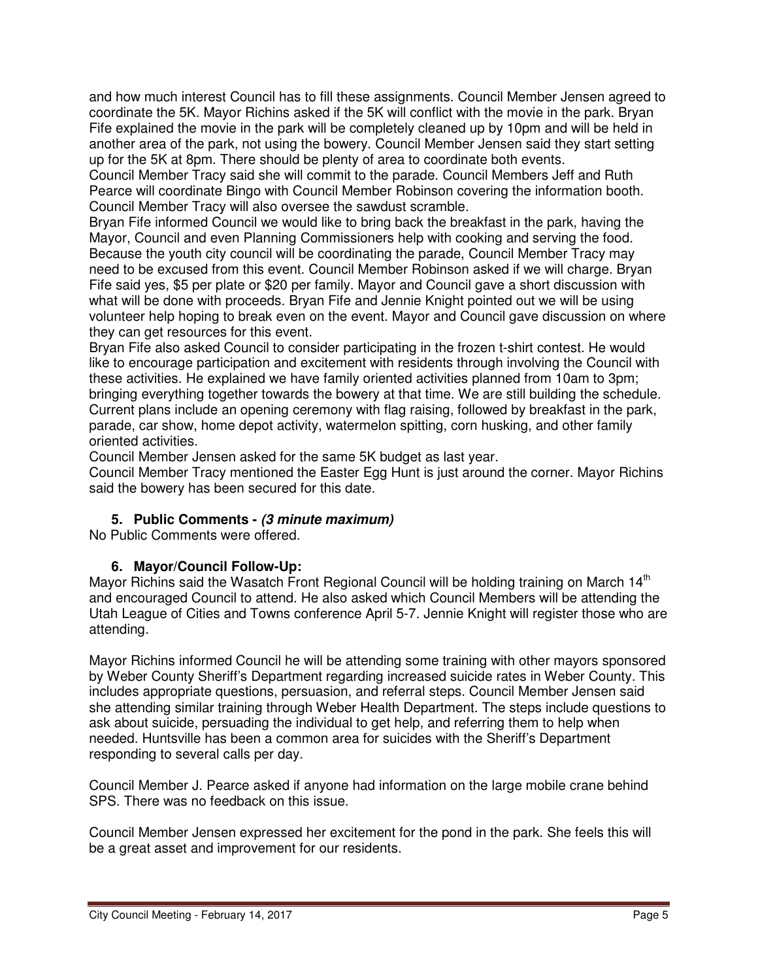and how much interest Council has to fill these assignments. Council Member Jensen agreed to coordinate the 5K. Mayor Richins asked if the 5K will conflict with the movie in the park. Bryan Fife explained the movie in the park will be completely cleaned up by 10pm and will be held in another area of the park, not using the bowery. Council Member Jensen said they start setting up for the 5K at 8pm. There should be plenty of area to coordinate both events.

Council Member Tracy said she will commit to the parade. Council Members Jeff and Ruth Pearce will coordinate Bingo with Council Member Robinson covering the information booth. Council Member Tracy will also oversee the sawdust scramble.

Bryan Fife informed Council we would like to bring back the breakfast in the park, having the Mayor, Council and even Planning Commissioners help with cooking and serving the food. Because the youth city council will be coordinating the parade, Council Member Tracy may need to be excused from this event. Council Member Robinson asked if we will charge. Bryan Fife said yes, \$5 per plate or \$20 per family. Mayor and Council gave a short discussion with what will be done with proceeds. Bryan Fife and Jennie Knight pointed out we will be using volunteer help hoping to break even on the event. Mayor and Council gave discussion on where they can get resources for this event.

Bryan Fife also asked Council to consider participating in the frozen t-shirt contest. He would like to encourage participation and excitement with residents through involving the Council with these activities. He explained we have family oriented activities planned from 10am to 3pm; bringing everything together towards the bowery at that time. We are still building the schedule. Current plans include an opening ceremony with flag raising, followed by breakfast in the park, parade, car show, home depot activity, watermelon spitting, corn husking, and other family oriented activities.

Council Member Jensen asked for the same 5K budget as last year.

Council Member Tracy mentioned the Easter Egg Hunt is just around the corner. Mayor Richins said the bowery has been secured for this date.

### **5. Public Comments - (3 minute maximum)**

No Public Comments were offered.

#### **6. Mayor/Council Follow-Up:**

Mayor Richins said the Wasatch Front Regional Council will be holding training on March  $14<sup>th</sup>$ and encouraged Council to attend. He also asked which Council Members will be attending the Utah League of Cities and Towns conference April 5-7. Jennie Knight will register those who are attending.

Mayor Richins informed Council he will be attending some training with other mayors sponsored by Weber County Sheriff's Department regarding increased suicide rates in Weber County. This includes appropriate questions, persuasion, and referral steps. Council Member Jensen said she attending similar training through Weber Health Department. The steps include questions to ask about suicide, persuading the individual to get help, and referring them to help when needed. Huntsville has been a common area for suicides with the Sheriff's Department responding to several calls per day.

Council Member J. Pearce asked if anyone had information on the large mobile crane behind SPS. There was no feedback on this issue.

Council Member Jensen expressed her excitement for the pond in the park. She feels this will be a great asset and improvement for our residents.